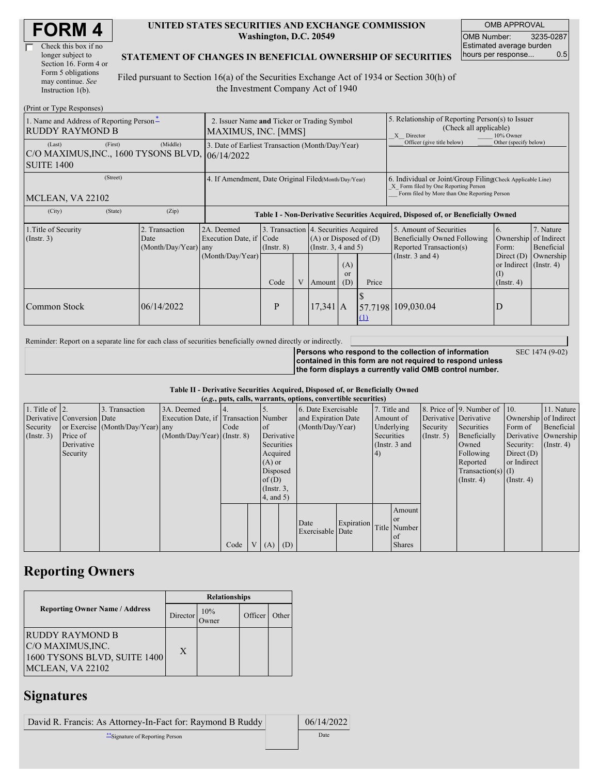| <b>FORM4</b> |
|--------------|
|--------------|

| Check this box if no  |
|-----------------------|
| longer subject to     |
| Section 16. Form 4 or |
| Form 5 obligations    |
| may continue. See     |
| Instruction $1(b)$ .  |

#### **UNITED STATES SECURITIES AND EXCHANGE COMMISSION Washington, D.C. 20549**

OMB APPROVAL OMB Number: 3235-0287 Estimated average burden hours per response... 0.5

### **STATEMENT OF CHANGES IN BENEFICIAL OWNERSHIP OF SECURITIES**

Filed pursuant to Section 16(a) of the Securities Exchange Act of 1934 or Section 30(h) of the Investment Company Act of 1940

| (Print or Type Responses)                                                      |                                                                    |                                                                                  |                                 |   |                                                                                                                                               |  |                                                                                                                                                    |                                                                                                             |                                                                                           |                                                     |
|--------------------------------------------------------------------------------|--------------------------------------------------------------------|----------------------------------------------------------------------------------|---------------------------------|---|-----------------------------------------------------------------------------------------------------------------------------------------------|--|----------------------------------------------------------------------------------------------------------------------------------------------------|-------------------------------------------------------------------------------------------------------------|-------------------------------------------------------------------------------------------|-----------------------------------------------------|
| 1. Name and Address of Reporting Person-<br><b>RUDDY RAYMOND B</b>             | 2. Issuer Name and Ticker or Trading Symbol<br>MAXIMUS, INC. [MMS] |                                                                                  |                                 |   |                                                                                                                                               |  | 5. Relationship of Reporting Person(s) to Issuer<br>(Check all applicable)<br>10% Owner<br>X Director                                              |                                                                                                             |                                                                                           |                                                     |
| (First)<br>(Last)<br>C/O MAXIMUS, INC., 1600 TYSONS BLVD,<br><b>SUITE 1400</b> | 3. Date of Earliest Transaction (Month/Day/Year)<br>106/14/2022    |                                                                                  |                                 |   |                                                                                                                                               |  | Officer (give title below)                                                                                                                         | Other (specify below)                                                                                       |                                                                                           |                                                     |
| (Street)<br>MCLEAN, VA 22102                                                   | 4. If Amendment, Date Original Filed(Month/Day/Year)               |                                                                                  |                                 |   |                                                                                                                                               |  | 6. Individual or Joint/Group Filing Check Applicable Line)<br>X Form filed by One Reporting Person<br>Form filed by More than One Reporting Person |                                                                                                             |                                                                                           |                                                     |
| (State)<br>(City)                                                              | (Zip)                                                              | Table I - Non-Derivative Securities Acquired, Disposed of, or Beneficially Owned |                                 |   |                                                                                                                                               |  |                                                                                                                                                    |                                                                                                             |                                                                                           |                                                     |
| 1. Title of Security<br>(Insert. 3)                                            | Transaction<br>Date<br>(Month/Day/Year) any                        | 2A. Deemed<br>Execution Date, if<br>(Month/Day/Year)                             | Code<br>$($ Instr. $8)$<br>Code | V | 3. Transaction 4. Securities Acquired<br>$(A)$ or Disposed of $(D)$<br>(Insert. 3, 4 and 5)<br>(A)<br><sub>or</sub><br>Price<br>(D)<br>Amount |  |                                                                                                                                                    | 5. Amount of Securities<br>Beneficially Owned Following<br>Reported Transaction(s)<br>(Instr. $3$ and $4$ ) | 6.<br>Ownership<br>Form:<br>Direct $(D)$<br>or Indirect $($ Instr. 4)<br>$($ Instr. 4 $)$ | 7. Nature<br>of Indirect<br>Beneficial<br>Ownership |
| Common Stock                                                                   | 06/14/2022                                                         |                                                                                  | P                               |   | $17,341$ A                                                                                                                                    |  | (1)                                                                                                                                                | 57.7198 109,030.04                                                                                          | D                                                                                         |                                                     |

Reminder: Report on a separate line for each class of securities beneficially owned directly or indirectly.

**Persons who respond to the collection of information contained in this form are not required to respond unless the form displays a currently valid OMB control number.** SEC 1474 (9-02)

#### **Table II - Derivative Securities Acquired, Disposed of, or Beneficially Owned (***e.g.***, puts, calls, warrants, options, convertible securities)**

|                        | $(0.5, 0.005, 0.005, 0.0005, 0.00005, 0.0000, 0.0000, 0.0000, 0.0000, 0.0000, 0.0000, 0.0000, 0.0000, 0.0000, 0.0000, 0.0000, 0.0000, 0.0000, 0.0000, 0.0000, 0.0000, 0.0000, 0.0000, 0.0000, 0.0000, 0.0000, 0.0000, 0.0000,$ |                                  |                                       |      |  |                 |  |                     |            |            |               |                       |                              |                       |                      |
|------------------------|--------------------------------------------------------------------------------------------------------------------------------------------------------------------------------------------------------------------------------|----------------------------------|---------------------------------------|------|--|-----------------|--|---------------------|------------|------------|---------------|-----------------------|------------------------------|-----------------------|----------------------|
| 1. Title of $\vert$ 2. |                                                                                                                                                                                                                                | 3. Transaction                   | 3A. Deemed                            |      |  |                 |  | 6. Date Exercisable |            |            | 7. Title and  |                       | 8. Price of 9. Number of 10. |                       | 11. Nature           |
|                        | Derivative Conversion Date                                                                                                                                                                                                     |                                  | Execution Date, if Transaction Number |      |  |                 |  | and Expiration Date |            |            | Amount of     | Derivative Derivative |                              | Ownership of Indirect |                      |
| Security               |                                                                                                                                                                                                                                | or Exercise (Month/Day/Year) any |                                       | Code |  | <sub>of</sub>   |  | (Month/Day/Year)    |            |            | Underlying    | Security              | Securities                   | Form of               | Beneficial           |
| (Insert. 3)            | Price of                                                                                                                                                                                                                       |                                  | $(Month/Day/Year)$ (Instr. 8)         |      |  | Derivative      |  |                     |            | Securities |               | (Insert, 5)           | Beneficially                 |                       | Derivative Ownership |
|                        | Derivative                                                                                                                                                                                                                     |                                  |                                       |      |  | Securities      |  |                     |            |            | (Instr. 3 and |                       | Owned                        | Security:             | $($ Instr. 4)        |
|                        | Security                                                                                                                                                                                                                       |                                  |                                       |      |  | Acquired        |  |                     |            | 4)         |               |                       | Following                    | Direct $(D)$          |                      |
|                        |                                                                                                                                                                                                                                |                                  |                                       |      |  | $(A)$ or        |  |                     |            |            |               |                       | Reported                     | or Indirect           |                      |
|                        |                                                                                                                                                                                                                                |                                  |                                       |      |  | Disposed        |  |                     |            |            |               |                       | $Transaction(s)$ (I)         |                       |                      |
|                        |                                                                                                                                                                                                                                |                                  |                                       |      |  | of $(D)$        |  |                     |            |            |               |                       | $($ Instr. 4 $)$             | $($ Instr. 4 $)$      |                      |
|                        |                                                                                                                                                                                                                                |                                  |                                       |      |  | $($ Instr. $3,$ |  |                     |            |            |               |                       |                              |                       |                      |
|                        |                                                                                                                                                                                                                                |                                  |                                       |      |  | $4$ , and 5)    |  |                     |            |            |               |                       |                              |                       |                      |
|                        |                                                                                                                                                                                                                                |                                  |                                       |      |  |                 |  |                     |            |            | Amount        |                       |                              |                       |                      |
|                        |                                                                                                                                                                                                                                |                                  |                                       |      |  |                 |  | Date                | Expiration |            | or or         |                       |                              |                       |                      |
|                        |                                                                                                                                                                                                                                |                                  |                                       |      |  |                 |  | Exercisable Date    |            |            | Title Number  |                       |                              |                       |                      |
|                        |                                                                                                                                                                                                                                |                                  |                                       |      |  |                 |  |                     |            |            | of            |                       |                              |                       |                      |
|                        |                                                                                                                                                                                                                                |                                  |                                       | Code |  | V   (A)   (D)   |  |                     |            |            | <b>Shares</b> |                       |                              |                       |                      |

## **Reporting Owners**

|                                                                                                 | <b>Relationships</b> |                 |         |       |  |  |  |
|-------------------------------------------------------------------------------------------------|----------------------|-----------------|---------|-------|--|--|--|
| <b>Reporting Owner Name / Address</b>                                                           | Director             | 10%<br><b>T</b> | Officer | Other |  |  |  |
| <b>RUDDY RAYMOND B</b><br> C/O MAXIMUS,INC.<br>1600 TYSONS BLVD, SUITE 1400<br>MCLEAN, VA 22102 | X                    |                 |         |       |  |  |  |

## **Signatures**

David R. Francis: As Attorney-In-Fact for: Raymond B Ruddy | 06/14/2022

\*\*Signature of Reporting Person Date